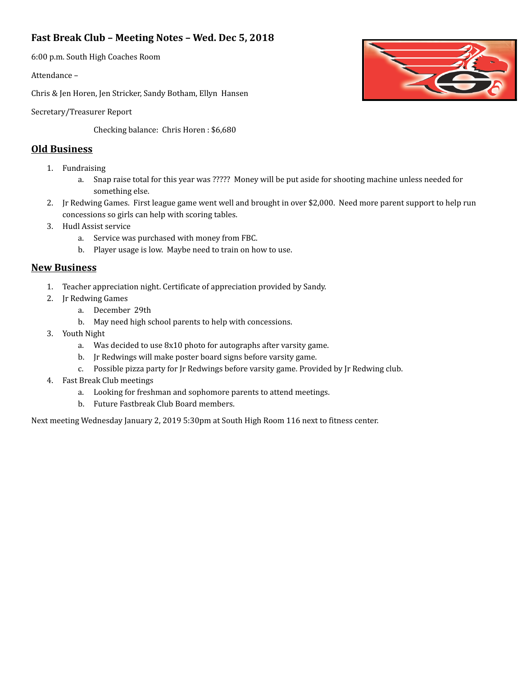## **Fast Break Club – Meeting Notes – Wed. Dec 5, 2018**

6:00 p.m. South High Coaches Room

Attendance –

Chris & Jen Horen, Jen Stricker, Sandy Botham, Ellyn Hansen

Secretary/Treasurer Report

Checking balance: Chris Horen : \$6,680

## **Old Business**

- 1. Fundraising
	- a. Snap raise total for this year was ????? Money will be put aside for shooting machine unless needed for something else.
- 2. Jr Redwing Games. First league game went well and brought in over \$2,000. Need more parent support to help run concessions so girls can help with scoring tables.
- 3. Hudl Assist service
	- a. Service was purchased with money from FBC.
	- b. Player usage is low. Maybe need to train on how to use.

## **New Business**

- 1. Teacher appreciation night. Certificate of appreciation provided by Sandy.
- 2. Jr Redwing Games
	- a. December 29th
	- b. May need high school parents to help with concessions.
- 3. Youth Night
	- a. Was decided to use 8x10 photo for autographs after varsity game.
	- b. Jr Redwings will make poster board signs before varsity game.
	- c. Possible pizza party for Jr Redwings before varsity game. Provided by Jr Redwing club.
- 4. Fast Break Club meetings
	- a. Looking for freshman and sophomore parents to attend meetings.
	- b. Future Fastbreak Club Board members.

Next meeting Wednesday January 2, 2019 5:30pm at South High Room 116 next to fitness center.